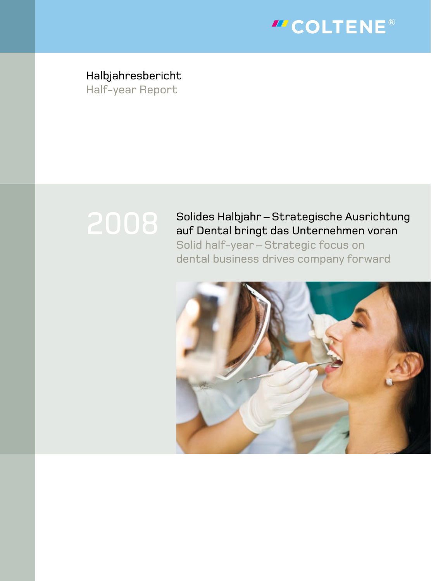

Halbjahresbericht Half-year Report

# Solides Halbjahr – Strategische Ausrichtung auf Dental bringt das Unternehmen voran

Solid half-year – Strategic focus on dental business drives company forward

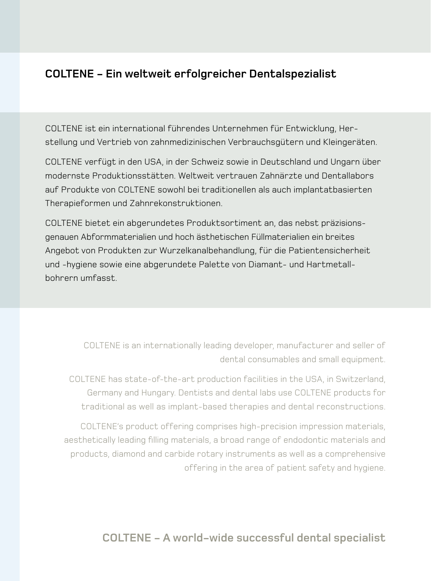# **COLTENE - Ein weltweit erfolgreicher Dentalspezialist**

COLTENE ist ein international führendes Unternehmen für Entwicklung, Herstellung und Vertrieb von zahnmedizinischen Verbrauchsgütern und Kleingeräten.

COLTENE verfügt in den USA, in der Schweiz sowie in Deutschland und Ungarn über modernste Produktionsstätten. Weltweit vertrauen Zahnärzte und Dentallabors auf Produkte von COLTENE sowohl bei traditionellen als auch implantatbasierten Therapieformen und Zahnrekonstruktionen.

COLTENE bietet ein abgerundetes Produktsortiment an, das nebst präzisionsgenauen Abformmaterialien und hoch ästhetischen Füllmaterialien ein breites Angebot von Produkten zur Wurzelkanalbehandlung, für die Patientensicherheit und -hygiene sowie eine abgerundete Palette von Diamant- und Hartmetallbohrern umfasst.

> COLTENE is an internationally leading developer, manufacturer and seller of dental consumables and small equipment.

COLTENE has state-of-the-art production facilities in the USA, in Switzerland, Germany and Hungary. Dentists and dental labs use COLTENE products for traditional as well as implant-based therapies and dental reconstructions.

COLTENE's product offering comprises high-precision impression materials, aesthetically leading filling materials, a broad range of endodontic materials and products, diamond and carbide rotary instruments as well as a comprehensive offering in the area of patient safety and hygiene.

## **COLTENE - A world-wide successful dental specialist**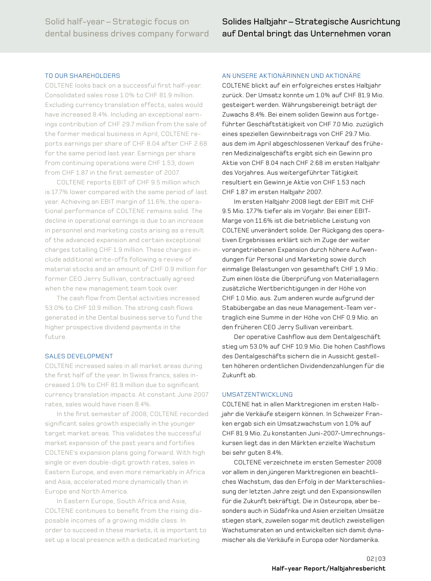### TO OUR SHAREHOLDERS

COLTENE looks back on a successful first half-year. Consolidated sales rose 1.0% to CHF 81.9 million. Excluding currency translation effects, sales would have increased 8.4%. Including an exceptional earnings contribution of CHF 29.7 million from the sale of the former medical business in April, COLTENE reports earnings per share of CHF 8.04 after CHF 2.68 for the same period last year. Earnings per share from continuing operations were CHF 1.53, down from CHF 1.87 in the first semester of 2007.

COLTENE reports EBIT of CHF 9.5 million which is 17.7% lower compared with the same period of last year. Achieving an EBIT margin of 11.6%, the operational performance of COLTENE remains solid. The decline in operational earnings is due to an increase in personnel and marketing costs arising as a result of the advanced expansion and certain exceptional charges totalling CHF 1.9 million. These charges include additional write-offs following a review of material stocks and an amount of CHF 0.9 million for former CEO Jerry Sullivan, contractually agreed when the new management team took over.

The cash flow from Dental activities increased 5.0% to CHF 10.9 million. The strong cash flows generated in the Dental business serve to fund the higher prospective dividend payments in the future.

### SALES DEVELOPmENT

COLTENE increased sales in all market areas during the first half of the year. In Swiss francs, sales increased 1.0% to CHF 81.9 million due to significant currency translation impacts. At constant June 2007 rates, sales would have risen 8.4%.

In the first semester of 2008, COLTENE recorded significant sales growth especially in the younger target market areas. This validates the successful market expansion of the past years and fortifies COLTENE's expansion plans going forward. With high single or even double-digit growth rates, sales in Eastern Europe, and even more remarkably in Africa and Asia, accelerated more dynamically than in Europe and North America.

In Eastern Europe, South Africa and Asia, COLTENE continues to benefit from the rising disposable incomes of a growing middle class. In order to succeed in these markets, it is important to set up a local presence with a dedicated marketing

### AN UNSErE AKTIONärINNEN UND AKTIONärE

COLTENE blickt auf ein erfolgreiches erstes Halbjahr zurück. Der Umsatz konnte um 1.0% auf CHF 81.9 mio. gesteigert werden. Währungsbereinigt beträgt der Zuwachs 8.4%. Bei einem soliden Gewinn aus fortgeführter Geschäftstätigkeit von CHF 7.0 mio. zuzüglich eines speziellen Gewinnbeitrags von CHF 29.7 mio. aus dem im April abgeschlossenen Verkauf des früheren medizinalgeschäfts ergibt sich ein Gewinn pro Aktie von CHF 8.04 nach CHF 2.68 im ersten Halbjahr des Vorjahres. Aus weitergeführter Tätigkeit resultiert ein Gewinn je Aktie von CHF 1.53 nach CHF 1.87 im ersten Halbjahr 2007.

Im ersten Halbjahr 2008 liegt der EBIT mit CHF 9.5 mio. 17.7% tiefer als im Vorjahr. Bei einer EBITmarge von 11.6% ist die betriebliche Leistung von COLTENE unverändert solide. Der Rückgang des operativen Ergebnisses erklärt sich im Zuge der weiter vorangetriebenen Expansion durch höhere Aufwendungen für Personal und marketing sowie durch einmalige Belastungen von gesamthaft CHF 1.9 mio.: Zum einen löste die Überprüfung von materiallagern zusätzliche Wertberichtigungen in der Höhe von CHF 1.0 mio. aus. Zum anderen wurde aufgrund der Stabübergabe an das neue Management-Team vertraglich eine Summe in der Höhe von CHF 0.9 mio. an den früheren CEO Jerry Sullivan vereinbart.

Der operative Cashflow aus dem Dentalgeschäft stieg um 53.0% auf CHF 10.9 Mio. Die hohen Cashflows des Dentalgeschäfts sichern die in Aussicht gestellten höheren ordentlichen Dividendenzahlungen für die Zukunft ab.

### UmSATZENTWICKLUNG

COLTENE hat in allen marktregionen im ersten Halbjahr die Verkäufe steigern können. In Schweizer Franken ergab sich ein Umsatzwachstum von 1.0% auf CHF 81.9 mio. Zu konstanten Juni-2007-Umrechnungskursen liegt das in den märkten erzielte Wachstum bei sehr guten 8.4%.

COLTENE verzeichnete im ersten Semester 2008 vor allem in den jüngeren marktregionen ein beachtliches Wachstum, das den Erfolg in der markterschliessung der letzten Jahre zeigt und den Expansionswillen für die Zukunft bekräftigt. Die in Osteuropa, aber besonders auch in Südafrika und Asien erzielten Umsätze stiegen stark, zuweilen sogar mit deutlich zweistelligen Wachstumsraten an und entwickelten sich damit dynamischer als die Verkäufe in Europa oder Nordamerika.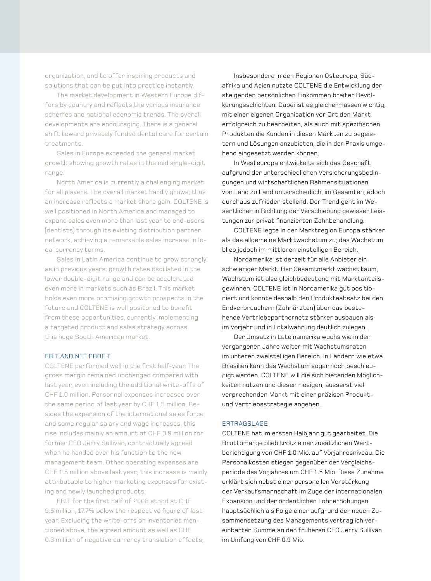organization, and to offer inspiring products and solutions that can be put into practice instantly.

The market development in Western Europe differs by country and reflects the various insurance schemes and national economic trends. The overall developments are encouraging. There is a general shift toward privately funded dental care for certain treatments.

Sales in Europe exceeded the general market growth showing growth rates in the mid single-digit range.

North America is currently a challenging market for all players. The overall market hardly grows; thus an increase reflects a market share gain. COLTENE is well positioned in North America and managed to expand sales even more than last year to end-users (dentists) through its existing distribution partner network, achieving a remarkable sales increase in local currency terms.

Sales in Latin America continue to grow strongly as in previous years: growth rates oscillated in the lower double-digit range and can be accelerated even more in markets such as Brazil. This market holds even more promising growth prospects in the future and COLTENE is well positoned to benefit from these opportunities, currently implementing a targeted product and sales strategy across this huge South American market.

### EBIT AND NET PrOFIT

COLTENE performed well in the first half-year. The gross margin remained unchanged compared with last year, even including the additional write-offs of CHF 1.0 million. Personnel expenses increased over the same period of last year by CHF 1.5 million. Besides the expansion of the international sales force and some regular salary and wage increases, this rise includes mainly an amount of CHF 0.9 million for former CEO Jerry Sullivan, contractually agreed when he handed over his function to the new management team. Other operating expenses are CHF 1.5 million above last year; this increase is mainly attributable to higher marketing expenses for existing and newly launched products.

EBIT for the first half of 2008 stood at CHF 9.5 million, 17.7% below the respective figure of last year. Excluding the write-offs on inventories mentioned above, the agreed amount as well as CHF 0.3 million of negative currency translation effects,

Insbesondere in den Regionen Osteuropa, Südafrika und Asien nutzte COLTENE die Entwicklung der steigenden persönlichen Einkommen breiter Bevölkerungsschichten. Dabei ist es gleichermassen wichtig, mit einer eigenen Organisation vor Ort den markt erfolgreich zu bearbeiten, als auch mit spezifischen Produkten die Kunden in diesen märkten zu begeistern und Lösungen anzubieten, die in der Praxis umgehend eingesetzt werden können.

In Westeuropa entwickelte sich das Geschäft aufgrund der unterschiedlichen Versicherungsbedingungen und wirtschaftlichen Rahmensituationen von Land zu Land unterschiedlich, im Gesamten jedoch durchaus zufrieden stellend. Der Trend geht im Wesentlichen in Richtung der Verschiebung gewisser Leistungen zur privat finanzierten Zahnbehandlung.

COLTENE legte in der marktregion Europa stärker als das allgemeine marktwachstum zu; das Wachstum blieb jedoch im mittleren einstelligen Bereich.

Nordamerika ist derzeit für alle Anbieter ein schwieriger markt. Der Gesamtmarkt wächst kaum, Wachstum ist also gleichbedeutend mit marktanteilsgewinnen. COLTENE ist in Nordamerika gut positioniert und konnte deshalb den Produkteabsatz bei den Endverbrauchern (Zahnärzten) über das bestehende Vertriebspartnernetz stärker ausbauen als im Vorjahr und in Lokalwährung deutlich zulegen.

Der Umsatz in Lateinamerika wuchs wie in den vergangenen Jahre weiter mit Wachstumsraten im unteren zweistelligen Bereich. In Ländern wie etwa Brasilien kann das Wachstum sogar noch beschleunigt werden. COLTENE will die sich bietenden möglichkeiten nutzen und diesen riesigen, äusserst viel verprechenden markt mit einer präzisen Produktund Vertriebsstrategie angehen.

### ErTrAGSLAGE

COLTENE hat im ersten Halbjahr gut gearbeitet. Die Bruttomarge blieb trotz einer zusätzlichen Wertberichtigung von CHF 1.0 mio. auf Vorjahresniveau. Die Personalkosten stiegen gegenüber der Vergleichsperiode des Vorjahres um CHF 1.5 mio. Diese Zunahme erklärt sich nebst einer personellen Verstärkung der Verkaufsmannschaft im Zuge der internationalen Expansion und der ordentlichen Lohnerhöhungen hauptsächlich als Folge einer aufgrund der neuen Zusammensetzung des Managements vertraglich vereinbarten Summe an den früheren CEO Jerry Sullivan im Umfang von CHF 0.9 Mio.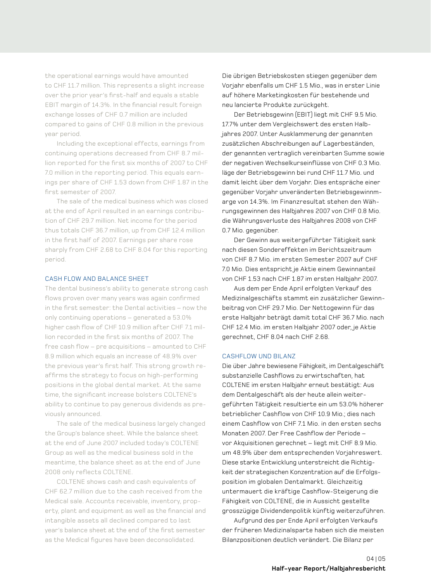the operational earnings would have amounted to CHF 11.7 million. This represents a slight increase over the prior year's first-half and equals a stable EBIT margin of 14.3%. In the financial result foreign exchange losses of CHF 0.7 million are included compared to gains of CHF 0.8 million in the previous year period.

Including the exceptional effects, earnings from continuing operations decreased from CHF 8.7 million reported for the first six months of 2007 to CHF 7.0 million in the reporting period. This equals earnings per share of CHF 1.53 down from CHF 1.87 in the first semester of 2007.

The sale of the medical business which was closed at the end of April resulted in an earnings contribution of CHF 29.7 million. Net income for the period thus totals CHF 36.7 million, up from CHF 12.4 million in the first half of 2007. Earnings per share rose sharply from CHF 2.68 to CHF 8.04 for this reporting period.

### CASH FLOW AND BALANCE SHEET

The dental business's ability to generate strong cash flows proven over many years was again confirmed in the first semester: the Dental activities – now the only continuing operations - generated a 53.0% higher cash flow of CHF 10.9 million after CHF 7.1 million recorded in the first six months of 2007. The free cash flow – pre acquisitions – amounted to CHF 8.9 million which equals an increase of 48.9% over the previous year's first half. This strong growth reaffirms the strategy to focus on high-performing positions in the global dental market. At the same time, the significant increase bolsters COLTENE's ability to continue to pay generous dividends as previously announced.

The sale of the medical business largely changed the Group's balance sheet. While the balance sheet at the end of June 2007 included today's COLTENE Group as well as the medical business sold in the meantime, the balance sheet as at the end of June 2008 only reflects COLTENE.

COLTENE shows cash and cash equivalents of CHF 62.7 million due to the cash received from the medical sale. Accounts receivable, inventory, property, plant and equipment as well as the financial and intangible assets all declined compared to last year's balance sheet at the end of the first semester as the medical figures have been deconsolidated.

Die übrigen Betriebskosten stiegen gegenüber dem Vorjahr ebenfalls um CHF 1.5 mio., was in erster Linie auf höhere marketingkosten für bestehende und neu lancierte Produkte zurückgeht.

Der Betriebsgewinn (EBIT) liegt mit CHF 9.5 mio. 17.7% unter dem Vergleichswert des ersten Halbjahres 2007. Unter Ausklammerung der genannten zusätzlichen Abschreibungen auf Lagerbeständen, der genannten vertraglich vereinbarten Summe sowie der negativen Wechselkurseinflüsse von CHF 0.3 Mio. läge der Betriebsgewinn bei rund CHF 11.7 mio. und damit leicht über dem Vorjahr. Dies entspräche einer gegenüber Vorjahr unveränderten Betriebsgewinnmarge von 14.3%. Im Finanzresultat stehen den Währungsgewinnen des Halbjahres 2007 von CHF 0.8 mio. die Währungsverluste des Halbjahres 2008 von CHF 0.7 mio. gegenüber.

Der Gewinn aus weitergeführter Tätigkeit sank nach diesen Sondereffekten im Berichtszeitraum von CHF 8.7 mio. im ersten Semester 2007 auf CHF 7.0 mio. Dies entspricht je Aktie einem Gewinnanteil von CHF 1.53 nach CHF 1.87 im ersten Halbjahr 2007.

Aus dem per Ende April erfolgten Verkauf des medizinalgeschäfts stammt ein zusätzlicher Gewinnbeitrag von CHF 29.7 mio. Der Nettogewinn für das erste Halbjahr beträgt damit total CHF 36.7 Mio. nach CHF 12.4 mio. im ersten Halbjahr 2007 oder, je Aktie gerechnet, CHF 8.04 nach CHF 2.68.

### CASHFLOW UND BILANZ

Die über Jahre bewiesene Fähigkeit, im Dentalgeschäft substanzielle Cashflows zu erwirtschaften, hat COLTENE im ersten Halbjahr erneut bestätigt: Aus dem Dentalgeschäft als der heute allein weitergeführten Tätigkeit resultierte ein um 5.0% höherer betrieblicher Cashflow von CHF 10.9 mio.; dies nach einem Cashflow von CHF 7.1 mio. in den ersten sechs monaten 2007. Der Free Cashflow der Periode – vor Akquisitionen gerechnet – liegt mit CHF 8.9 mio. um 48.9% über dem entsprechenden Vorjahreswert. Diese starke Entwicklung unterstreicht die Richtigkeit der strategischen Konzentration auf die Erfolgsposition im globalen Dentalmarkt. Gleichzeitig untermauert die kräftige Cashflow-Steigerung die Fähigkeit von COLTENE, die in Aussicht gestellte grosszügige Dividendenpolitik künftig weiterzuführen.

Aufgrund des per Ende April erfolgten Verkaufs der früheren medizinalsparte haben sich die meisten Bilanzpositionen deutlich verändert. Die Bilanz per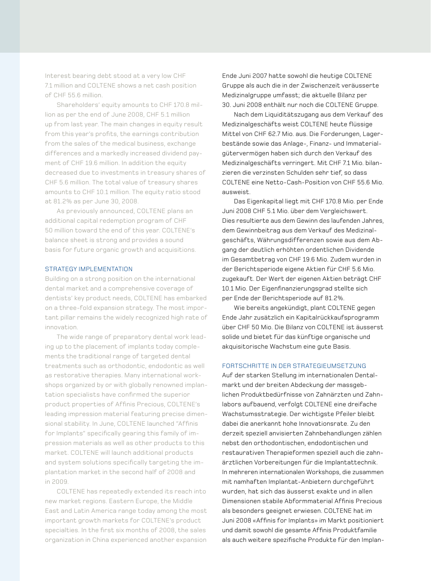Interest bearing debt stood at a very low CHF 7.1 million and COLTENE shows a net cash position of CHF 55.6 million.

Shareholders' equity amounts to CHF 170.8 million as per the end of June 2008, CHF 5.1 million up from last year. The main changes in equity result from this year's profits, the earnings contribution from the sales of the medical business, exchange differences and a markedly increased dividend payment of CHF 19.6 million. In addition the equity decreased due to investments in treasury shares of CHF 5.6 million. The total value of treasury shares amounts to CHF 10.1 million. The equity ratio stood at 81.2% as per June 30, 2008.

As previously announced, COLTENE plans an additional capital redemption program of CHF 50 million toward the end of this year. COLTENE's balance sheet is strong and provides a sound basis for future organic growth and acquisitions.

### STRATEGY IMPLEMENTATION

Building on a strong position on the international dental market and a comprehensive coverage of dentists' key product needs, COLTENE has embarked on a three-fold expansion strategy. The most important pillar remains the widely recognized high rate of innovation.

The wide range of preparatory dental work leading up to the placement of implants today complements the traditional range of targeted dental treatments such as orthodontic, endodontic as well as restorative therapies. many international workshops organized by or with globally renowned implantation specialists have confirmed the superior product properties of Affinis Precious, COLTENE's leading impression material featuring precise dimensional stability. In June, COLTENE launched "Affinis for Implants" specifically gearing this family of impression materials as well as other products to this market. COLTENE will launch additional products and system solutions specifically targeting the implantation market in the second half of 2008 and in 2009.

COLTENE has repeatedly extended its reach into new market regions. Eastern Europe, the middle East and Latin America range today among the most important growth markets for COLTENE's product specialties. In the first six months of 2008, the sales organization in China experienced another expansion

Ende Juni 2007 hatte sowohl die heutige COLTENE Gruppe als auch die in der Zwischenzeit veräusserte medizinalgruppe umfasst; die aktuelle Bilanz per 0. Juni 2008 enthält nur noch die COLTENE Gruppe.

Nach dem Liquiditätszugang aus dem Verkauf des medizinalgeschäfts weist COLTENE heute flüssige mittel von CHF 62.7 mio. aus. Die Forderungen, Lagerbestände sowie das Anlage-, Finanz- und Immaterialgütervermögen haben sich durch den Verkauf des medizinalgeschäfts verringert. mit CHF 7.1 mio. bilanzieren die verzinsten Schulden sehr tief, so dass COLTENE eine Netto-Cash-Position von CHF 55.6 mio. ausweist.

Das Eigenkapital liegt mit CHF 170.8 mio. per Ende Juni 2008 CHF 5.1 mio. über dem Vergleichswert. Dies resultierte aus dem Gewinn des laufenden Jahres, dem Gewinnbeitrag aus dem Verkauf des medizinalgeschäfts, Währungsdifferenzen sowie aus dem Abgang der deutlich erhöhten ordentlichen Dividende im Gesamtbetrag von CHF 19.6 mio. Zudem wurden in der Berichtsperiode eigene Aktien für CHF 5.6 mio. zugekauft. Der Wert der eigenen Aktien beträgt CHF 10.1 mio. Der Eigenfinanzierungsgrad stellte sich per Ende der Berichtsperiode auf 81.2%.

Wie bereits angekündigt, plant COLTENE gegen Ende Jahr zusätzlich ein Kapitalrückkaufsprogramm über CHF 50 mio. Die Bilanz von COLTENE ist äusserst solide und bietet für das künftige organische und akquisitorische Wachstum eine gute Basis.

### FORTSCHRITTE IN DER STRATEGIEUMSETZUNG

Auf der starken Stellung im internationalen Dentalmarkt und der breiten Abdeckung der massgeblichen Produktbedürfnisse von Zahnärzten und Zahnlabors aufbauend, verfolgt COLTENE eine dreifache Wachstumsstrategie. Der wichtigste Pfeiler bleibt dabei die anerkannt hohe Innovationsrate. Zu den derzeit speziell anvisierten Zahnbehandlungen zählen nebst den orthodontischen, endodontischen und restaurativen Therapieformen speziell auch die zahnärztlichen Vorbereitungen für die Implantattechnik. In mehreren internationalen Workshops, die zusammen mit namhaften Implantat-Anbietern durchgeführt wurden, hat sich das äusserst exakte und in allen Dimensionen stabile Abformmaterial Affinis Precious als besonders geeignet erwiesen. COLTENE hat im Juni 2008 «Affinis for Implants» im markt positioniert und damit sowohl die gesamte Affinis Produktfamilie als auch weitere spezifische Produkte für den Implan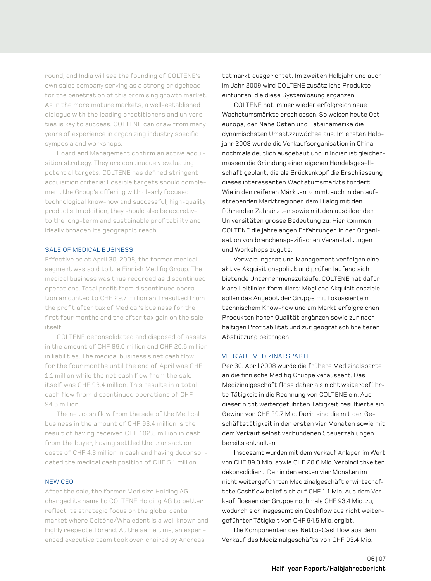round, and India will see the founding of COLTENE's own sales company serving as a strong bridgehead for the penetration of this promising growth market. As in the more mature markets, a well-established dialogue with the leading practitioners and universities is key to success. COLTENE can draw from many years of experience in organizing industry specific symposia and workshops.

Board and Management confirm an active acquisition strategy. They are continuously evaluating potential targets. COLTENE has defined stringent acquisition criteria: Possible targets should complement the Group's offering with clearly focused technological know-how and successful, high-quality products. In addition, they should also be accretive to the long-term and sustainable profitability and ideally broaden its geographic reach.

### SALE OF mEDICAL BUSINESS

Effective as at April 30, 2008, the former medical segment was sold to the Finnish Medifig Group. The medical business was thus recorded as discontinued operations. Total profit from discontinued operation amounted to CHF 29.7 million and resulted from the profit after tax of medical's business for the first four months and the after tax gain on the sale itself.

COLTENE deconsolidated and disposed of assets in the amount of CHF 89.0 million and CHF 20.6 million in liabilities. The medical business's net cash flow for the four months until the end of April was CHF 1.1 million while the net cash flow from the sale itself was CHF 93.4 million. This results in a total cash flow from discontinued operations of CHF 94.5 million.

The net cash flow from the sale of the Medical business in the amount of CHF 93.4 million is the result of having received CHF 102.8 million in cash from the buyer, having settled the transaction costs of CHF 4.3 million in cash and having deconsolidated the medical cash position of CHF 5.1 million.

### NEW CEO

After the sale, the former medisize Holding AG changed its name to COLTENE Holding AG to better reflect its strategic focus on the global dental market where Coltène/Whaledent is a well known and highly respected brand. At the same time, an experienced executive team took over, chaired by Andreas

tatmarkt ausgerichtet. Im zweiten Halbjahr und auch im Jahr 2009 wird COLTENE zusätzliche Produkte einführen, die diese Systemlösung ergänzen.

COLTENE hat immer wieder erfolgreich neue Wachstumsmärkte erschlossen. So weisen heute Osteuropa, der Nahe Osten und Lateinamerika die dynamischsten Umsatzzuwächse aus. Im ersten Halbjahr 2008 wurde die Verkaufsorganisation in China nochmals deutlich ausgebaut und in Indien ist gleichermassen die Gründung einer eigenen Handelsgesellschaft geplant, die als Brückenkopf die Erschliessung dieses interessanten Wachstumsmarkts fördert. Wie in den reiferen märkten kommt auch in den aufstrebenden marktregionen dem Dialog mit den führenden Zahnärzten sowie mit den ausbildenden Universitäten grosse Bedeutung zu. Hier kommen COLTENE die jahrelangen Erfahrungen in der Organisation von branchenspezifischen Veranstaltungen und Workshops zugute.

Verwaltungsrat und Management verfolgen eine aktive Akquisitionspolitik und prüfen laufend sich bietende Unternehmenszukäufe. COLTENE hat dafür klare Leitlinien formuliert: mögliche Akquisitionsziele sollen das Angebot der Gruppe mit fokussiertem technischem Know-how und am markt erfolgreichen Produkten hoher Qualität ergänzen sowie zur nachhaltigen Profitabilität und zur geografisch breiteren Abstützung beitragen.

### VErKAUF mEDIZINALSPArTE

Per 30. April 2008 wurde die frühere Medizinalsparte an die finnische medifiq Gruppe veräussert. Das medizinalgeschäft floss daher als nicht weitergeführte Tätigkeit in die Rechnung von COLTENE ein. Aus dieser nicht weitergeführten Tätigkeit resultierte ein Gewinn von CHF 29.7 mio. Darin sind die mit der Geschäftstätigkeit in den ersten vier monaten sowie mit dem Verkauf selbst verbundenen Steuerzahlungen bereits enthalten.

Insgesamt wurden mit dem Verkauf Anlagen im Wert von CHF 89.0 mio. sowie CHF 20.6 mio. Verbindlichkeiten dekonsolidiert. Der in den ersten vier Monaten im nicht weitergeführten medizinalgeschäft erwirtschaftete Cashflow belief sich auf CHF 1.1 mio. Aus dem Verkauf flossen der Gruppe nochmals CHF 93.4 Mio. zu, wodurch sich insgesamt ein Cashflow aus nicht weitergeführter Tätigkeit von CHF 94.5 mio. ergibt.

Die Komponenten des Netto-Cashflow aus dem Verkauf des Medizinalgeschäfts von CHF 93.4 Mio.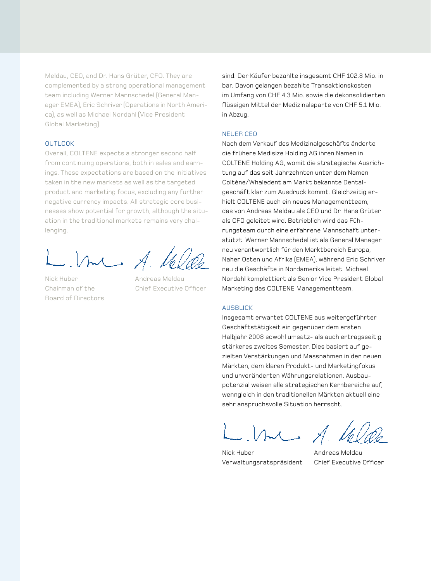meldau, CEO, and Dr. Hans Grüter, CFO. They are complemented by a strong operational management team including Werner mannschedel (General manager EmEA), Eric Schriver (Operations in North America), as well as michael Nordahl (Vice President Global marketing).

### **OUTLOOK**

Overall, COLTENE expects a stronger second half from continuing operations, both in sales and earnings. These expectations are based on the initiatives taken in the new markets as well as the targeted product and marketing focus, excluding any further negative currency impacts. All strategic core businesses show potential for growth, although the situation in the traditional markets remains very challenging.

me A. Ve

Nick Huber **Andreas Meldau** Board of Directors

Chairman of the Chief Executive Officer

sind: Der Käufer bezahlte insgesamt CHF 102.8 mio. in bar. Davon gelangen bezahlte Transaktionskosten im Umfang von CHF 4.3 Mio. sowie die dekonsolidierten flüssigen mittel der medizinalsparte von CHF 5.1 mio. in Abzug.

### NEUEr CEO

Nach dem Verkauf des medizinalgeschäfts änderte die frühere medisize Holding AG ihren Namen in COLTENE Holding AG, womit die strategische Ausrichtung auf das seit Jahrzehnten unter dem Namen Coltène/Whaledent am markt bekannte Dentalgeschäft klar zum Ausdruck kommt. Gleichzeitig erhielt COLTENE auch ein neues Managementteam, das von Andreas meldau als CEO und Dr. Hans Grüter als CFO geleitet wird. Betrieblich wird das Führungsteam durch eine erfahrene mannschaft unterstützt. Werner mannschedel ist als General manager neu verantwortlich für den marktbereich Europa, Naher Osten und Afrika (EmEA), während Eric Schriver neu die Geschäfte in Nordamerika leitet. michael Nordahl komplettiert als Senior Vice President Global Marketing das COLTENE Managementteam.

### AUSBLICK

Insgesamt erwartet COLTENE aus weitergeführter Geschäftstätigkeit ein gegenüber dem ersten Halbjahr 2008 sowohl umsatz- als auch ertragsseitig stärkeres zweites Semester. Dies basiert auf gezielten Verstärkungen und Massnahmen in den neuen märkten, dem klaren Produkt- und marketingfokus und unveränderten Währungsrelationen. Ausbaupotenzial weisen alle strategischen Kernbereiche auf, wenngleich in den traditionellen märkten aktuell eine sehr anspruchsvolle Situation herrscht.

 $M = A.1$ 

Verwaltungsratspräsident Chief Executive Officer

Nick Huber **Andreas Meldau**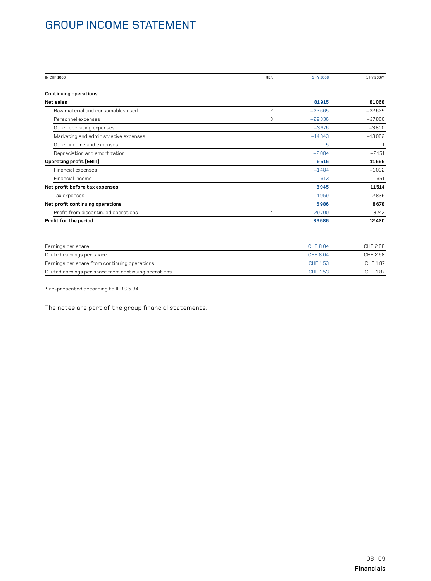# Group Income Statement

| <b>IN CHF 1000</b>                    | REF. | 1 HY 2008 | 1 HY 2007* |
|---------------------------------------|------|-----------|------------|
| <b>Continuing operations</b>          |      |           |            |
| Net sales                             |      | 81915     | 81068      |
| Raw material and consumables used     | 2    | $-22665$  | $-22625$   |
| Personnel expenses                    | 3    | $-29336$  | $-27866$   |
| Other operating expenses              |      | $-3976$   | $-3800$    |
| Marketing and administrative expenses |      | $-14343$  | $-13062$   |
| Other income and expenses             |      | 5         | 1          |
| Depreciation and amortization         |      | $-2084$   | $-2151$    |
| Operating profit (EBIT)               |      | 9516      | 11565      |
| Financial expenses                    |      | $-1484$   | $-1002$    |
| Financial income                      |      | 913       | 951        |
| Net profit before tax expenses        |      | 8945      | 11514      |
| Tax expenses                          |      | $-1959$   | $-2836$    |
| Net profit continuing operations      |      | 6986      | 8678       |
| Profit from discontinued operations   | 4    | 29700     | 3742       |
| Profit for the period                 |      | 36686     | 12420      |

| Earnings per share                                    | CHF 8.04 | CHF 2.68 |
|-------------------------------------------------------|----------|----------|
| Diluted earnings per share                            | CHF 8.04 | CHF 2.68 |
| Earnings per share from continuing operations         | CHE 153  | CHF 1.87 |
| Diluted earnings per share from continuing operations | CHE 153  | CHF 1.87 |

 $\star$ re-presented according to IFRS 5.34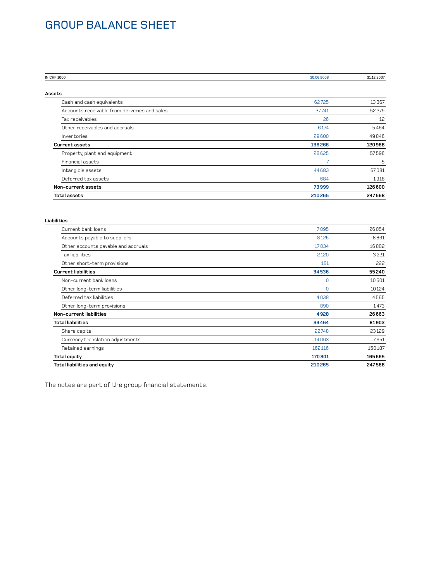# Group Balance Sheet

| IN CHF 1000                                   | 30.06.2008 | 31.12.2007 |
|-----------------------------------------------|------------|------------|
| Assets                                        |            |            |
| Cash and cash equivalents                     | 62725      | 13367      |
| Accounts receivable from deliveries and sales | 37741      | 52279      |
| Tax receivables                               | 26         | 12         |
| Other receivables and accruals                | 6 1 7 4    | 5464       |
| Inventories                                   | 29600      | 49846      |
| <b>Current assets</b>                         | 136266     | 120968     |
| Property, plant and equipment                 | 28625      | 57596      |
| Financial assets                              | 7          | 5          |
| Intangible assets                             | 44683      | 67081      |
| Deferred tax assets                           | 684        | 1918       |
| Non-current assets                            | 73999      | 126600     |
| <b>Total assets</b>                           | 210265     | 247568     |

| Liabilities |  |  |
|-------------|--|--|
| .           |  |  |

| <b>Total liabilities and equity</b> | 210265         | 247568  |
|-------------------------------------|----------------|---------|
| Total equity                        | 170801         | 165665  |
| Retained earnings                   | 162116         | 150187  |
| Currency translation adjustments    | $-14063$       | $-7651$ |
| Share capital                       | 22748          | 23129   |
| <b>Total liabilities</b>            | 39464          | 81903   |
| Non-current liabilities             | 4928           | 26663   |
| Other long-term provisions          | 890            | 1473    |
| Deferred tax liabilities            | 4038           | 4565    |
| Other long-term liabilities         | $\Omega$       | 10124   |
| Non-current bank loans              | $\overline{0}$ | 10501   |
| <b>Current liabilities</b>          | 34536          | 55240   |
| Other short-term provisions         | 161            | 222     |
| Tax liabilities                     | 2120           | 3221    |
| Other accounts payable and accruals | 17034          | 16882   |
| Accounts payable to suppliers       | 8126           | 8861    |
| Current bank loans                  | 7095           | 26054   |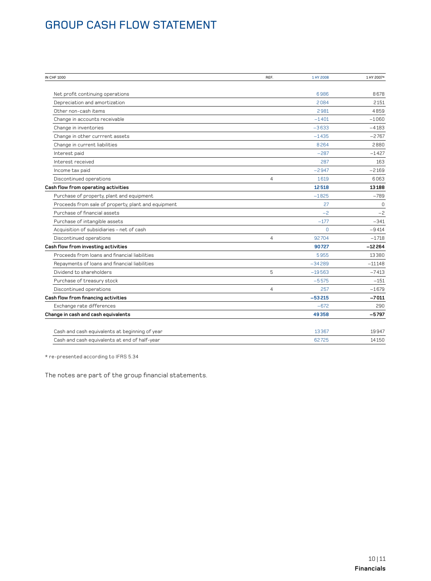# **GROUP CASH FLOW STATEMENT**

| IN CHF 1000                                         | REF.           | 1 HY 2008 | 1 HY 2007* |
|-----------------------------------------------------|----------------|-----------|------------|
|                                                     |                |           |            |
| Net profit continuing operations                    |                | 6986      | 8678       |
| Depreciation and amortization                       |                | 2084      | 2151       |
| Other non-cash items                                |                | 2981      | 4859       |
| Change in accounts receivable                       |                | $-1401$   | $-1060$    |
| Change in inventories                               |                | $-3633$   | $-4183$    |
| Change in other currrent assets                     |                | $-1435$   | $-2767$    |
| Change in current liabilities                       |                | 8264      | 2880       |
| Interest paid                                       |                | $-287$    | $-1427$    |
| Interest received                                   |                | 287       | 163        |
| Income tax paid                                     |                | $-2947$   | $-2169$    |
| Discontinued operations                             | $\overline{4}$ | 1619      | 6063       |
| Cash flow from operating activities                 |                | 12518     | 13188      |
| Purchase of property, plant and equipment           |                | $-1825$   | $-789$     |
| Proceeds from sale of property, plant and equipment |                | 27        | $\Omega$   |
| Purchase of financial assets                        |                | $-2$      | $-2$       |
| Purchase of intangible assets                       |                | $-177$    | $-341$     |
| Acquisition of subsidiaries - net of cash           |                | $\Omega$  | $-9414$    |
| Discontinued operations                             | $\overline{4}$ | 92704     | $-1718$    |
| Cash flow from investing activities                 |                | 90727     | $-12264$   |
| Proceeds from loans and financial liabilities       |                | 5955      | 13380      |
| Repayments of loans and financial liabilities       |                | $-34289$  | $-11148$   |
| Dividend to shareholders                            | 5              | $-19563$  | $-7413$    |
| Purchase of treasury stock                          |                | $-5575$   | $-151$     |
| Discontinued operations                             | $\overline{4}$ | 257       | $-1679$    |
| Cash flow from financing activities                 |                | $-53215$  | $-7011$    |
| Exchange rate differences                           |                | $-672$    | 290        |
| Change in cash and cash equivalents                 |                | 49358     | $-5797$    |
| Cash and cash equivalents at beginning of year      |                | 13367     | 19947      |
| Cash and cash equivalents at end of half-year       |                | 62725     | 14150      |
|                                                     |                |           |            |

 $\star$ re-presented according to IFRS 5.34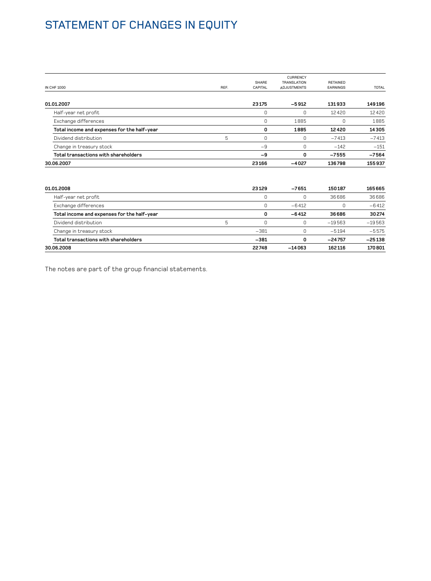# STATEMENT OF CHANGES IN EQUITY

|                                             |      |         | <b>CURRENCY</b>    |                 |              |
|---------------------------------------------|------|---------|--------------------|-----------------|--------------|
|                                             |      | SHARE   | <b>TRANSLATION</b> | <b>RETAINED</b> |              |
| <b>IN CHF 1000</b>                          | REF. | CAPITAL | <b>ADJUSTMENTS</b> | <b>EARNINGS</b> | <b>TOTAL</b> |
|                                             |      |         |                    |                 |              |
| 01.01.2007                                  |      | 23175   | $-5912$            | 131933          | 149196       |
| Half-year net profit                        |      | 0       |                    | 12420           | 12420        |
| Exchange differences                        |      | 0       | 1885               | 0               | 1885         |
| Total income and expenses for the half-year |      | 0       | 1885               | 12420           | 14305        |
| Dividend distribution                       | 5    | 0       |                    | $-7413$         | $-7413$      |
| Change in treasury stock                    |      | $-9$    |                    | $-142$          | $-151$       |
| Total transactions with shareholders        |      | -9      | 0                  | $-7555$         | $-7564$      |
| 30.06.2007                                  |      | 23166   | $-4027$            | 136798          | 155937       |

| 01.01.2008                                  |   | 23129  | $-7651$  | 150187   | 165665   |
|---------------------------------------------|---|--------|----------|----------|----------|
| Half-year net profit                        |   | C      |          | 36686    | 36686    |
| Exchange differences                        |   |        | $-6412$  |          | $-6412$  |
| Total income and expenses for the half-year |   | 0      | $-6412$  | 36686    | 30274    |
| Dividend distribution                       | 5 |        |          | $-19563$ | $-19563$ |
| Change in treasury stock                    |   | $-381$ |          | $-5194$  | $-5575$  |
| Total transactions with shareholders        |   | $-381$ | n        | $-24757$ | $-25138$ |
| 30.06.2008                                  |   | 22748  | $-14063$ | 162116   | 170801   |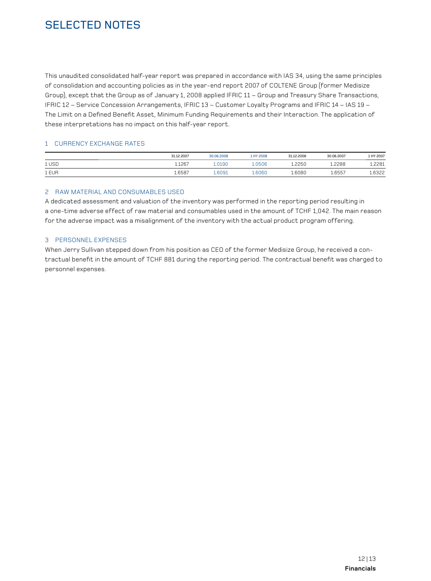# SELECTED NOTES

This unaudited consolidated half-year report was prepared in accordance with IAS 34, using the same principles of consolidation and accounting policies as in the year-end report 2007 of COLTENE Group (former Medisize Group), except that the Group as of January 1, 2008 applied IFRIC 11 – Group and Treasury Share Transactions, IFRIC 12 – Service Concession Arrangements, IFRIC 13 – Customer Loyalty Programs and IFRIC 14 – IAS 19 – The Limit on a Defined Benefit Asset, Minimum Funding Requirements and their Interaction. The application of these interpretations has no impact on this half-year report.

### 1 CURRENCY EXCHANGE RATES

|       | 31.12.2007 | 30.06.2008 | B00S YH J | 31.12.2006 | 30.06.2007 | 1 HY 2007 |
|-------|------------|------------|-----------|------------|------------|-----------|
| 1 USD | 1.1267     | n1 QN      | 0506      | L.2250     | .2288      | 2281      |
| 1 EUR | 1.6587     | 1.6091     | .6060     | 1.6080     | 1.6557     | 1.6322    |

### 2 RAW MATERIAL AND CONSUMABLES USED

A dedicated assessment and valuation of the inventory was performed in the reporting period resulting in a one-time adverse effect of raw material and consumables used in the amount of TCHF 1,042. The main reason for the adverse impact was a misalignment of the inventory with the actual product program offering.

### 3 PerSONNEL EXPENSES

When Jerry Sullivan stepped down from his position as CEO of the former Medisize Group, he received a contractual benefit in the amount of TCHF 881 during the reporting period. The contractual benefit was charged to personnel expenses.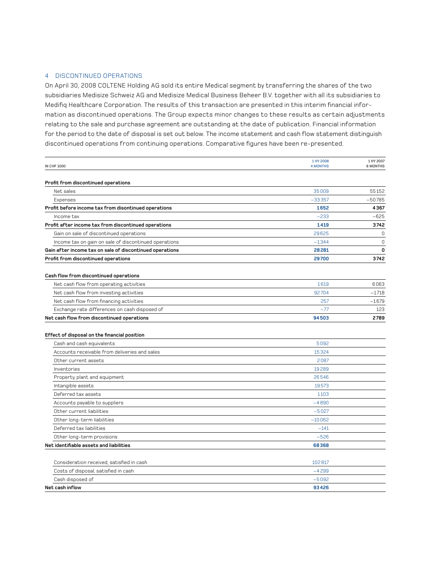### 4 DISCONTINUED OPerATIONS

On April 30, 2008 COLTENE Holding AG sold its entire Medical segment by transferring the shares of the two subsidiaries Medisize Schweiz AG and Medisize Medical Business Beheer B.V. together with all its subsidiaries to Medifiq Healthcare Corporation. The results of this transaction are presented in this interim financial information as discontinued operations. The Group expects minor changes to these results as certain adjustments relating to the sale and purchase agreement are outstanding at the date of publication. Financial information for the period to the date of disposal is set out below. The income statement and cash flow statement distinguish discontinued operations from continuing operations. Comparative figures have been re-presented.

| <b>IN CHF 1000</b>                                                                | 1 HY 2008<br><b>4 MONTHS</b> | 1 HY 2007<br>6 MONTHS |
|-----------------------------------------------------------------------------------|------------------------------|-----------------------|
| Profit from discontinued operations                                               |                              |                       |
| Net sales                                                                         | 35009                        | 55152                 |
| Expenses                                                                          | $-33357$                     | $-50785$              |
| Profit before income tax from disontinued operations                              | 1652                         | 4367                  |
| Income tax                                                                        | $-233$                       | $-625$                |
| Profit after income tax from discontinued operations                              | 1419                         | 3742                  |
| Gain on sale of discontinued operations                                           | 29625                        | $\mathbf 0$           |
| Income tax on gain on sale of discontinued operations                             | $-1344$                      | $\mathbf 0$           |
| Gain after income tax on sale of discontinued operations                          | 28281                        | 0                     |
| Profit from discontinued operations                                               | 29700                        | 3742                  |
|                                                                                   |                              |                       |
| Cash flow from discontinued operations                                            |                              |                       |
| Net cash flow from operating activities                                           | 1619                         | 6063                  |
| Net cash flow from investing activities                                           | 92704                        | $-1718$               |
| Net cash flow from financing activities                                           | 257                          | $-1679$               |
| Exchange rate differences on cash disposed of                                     | $-77$                        | 123                   |
| Net cash flow from discontinued operations                                        | 94503                        | 2789                  |
|                                                                                   |                              |                       |
| Effect of disposal on the financial position                                      |                              |                       |
| Cash and cash equivalents                                                         | 5092                         |                       |
| Accounts receivable from deliveries and sales                                     | 15324                        |                       |
| Other current assets                                                              | 2087                         |                       |
| Inventories                                                                       | 19289                        |                       |
| Property, plant and equipment                                                     | 26546                        |                       |
| Intangible assets                                                                 | 19573                        |                       |
| Deferred tax assets                                                               | 1103                         |                       |
| Accounts payable to suppliers                                                     | $-4890$                      |                       |
| Other current liabilities                                                         | $-5027$                      |                       |
| Other long-term liabilities                                                       | $-10062$                     |                       |
| Deferred tax liabilities                                                          | $-141$                       |                       |
| Other long-term provisions                                                        | $-526$                       |                       |
| Net identifiable assets and liabilities                                           | 68368                        |                       |
|                                                                                   |                              |                       |
| Consideration received, satisfied in cash<br>Costs of disposal, satisfied in cash | 102817<br>$-4299$            |                       |
|                                                                                   |                              |                       |

| Net cash inflow                      | 93426   |
|--------------------------------------|---------|
| Cash disposed of                     | $-5092$ |
| Costs of disposal, satisfied in cash | -4299   |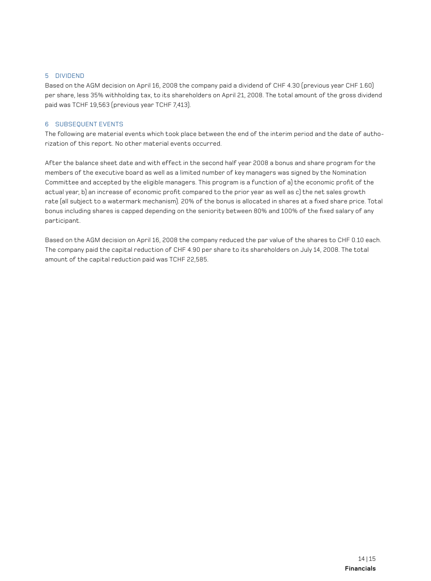### 5 dIVIDEND

Based on the AGM decision on April 16, 2008 the company paid a dividend of CHF 4.30 (previous year CHF 1.60) per share, less 35% withholding tax, to its shareholders on April 21, 2008. The total amount of the gross dividend paid was TCHF 19,563 (previous year TCHF 7,413).

### 6 SUBSEQUENT EVENTS

The following are material events which took place between the end of the interim period and the date of authorization of this report. No other material events occurred.

After the balance sheet date and with effect in the second half year 2008 a bonus and share program for the members of the executive board as well as a limited number of key managers was signed by the Nomination Committee and accepted by the eligible managers. This program is a function of a) the economic profit of the actual year, b) an increase of economic profit compared to the prior year as well as c) the net sales growth rate (all subject to a watermark mechanism). 20% of the bonus is allocated in shares at a fixed share price. Total bonus including shares is capped depending on the seniority between 80% and 100% of the fixed salary of any participant.

Based on the AGM decision on April 16, 2008 the company reduced the par value of the shares to CHF 0.10 each. The company paid the capital reduction of CHF 4.90 per share to its shareholders on July 14, 2008. The total amount of the capital reduction paid was TCHF 22,585.